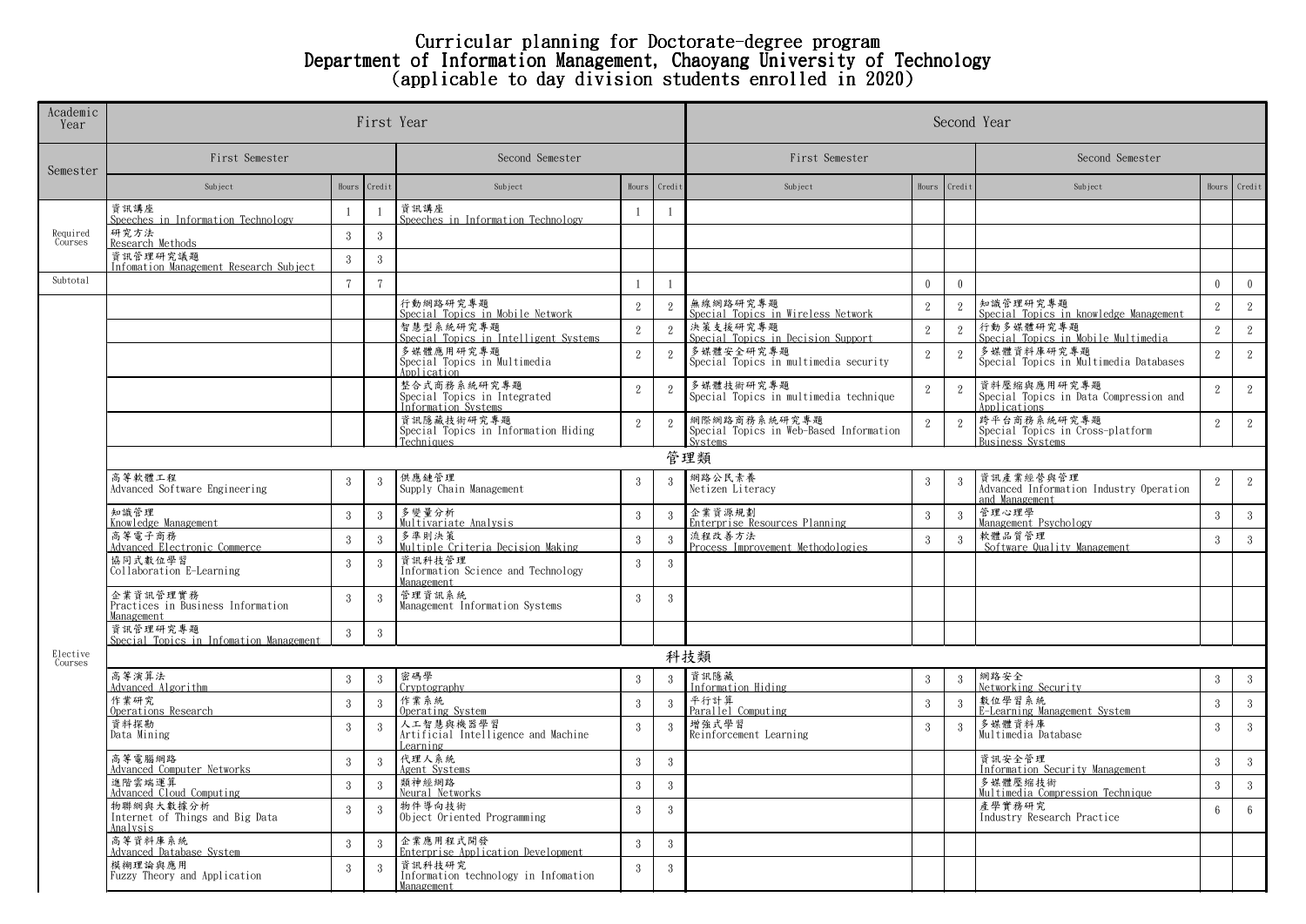## Curricular planning for Doctorate-degree program Department of Information Management, Chaoyang University of Technology (applicable to day division students enrolled in 2020)

| Academic<br>Year    |                                                             | First Year     |                 | Second Year                                                        |                 |                |                                                                    |                |                 |                                                                            |                 |                 |  |
|---------------------|-------------------------------------------------------------|----------------|-----------------|--------------------------------------------------------------------|-----------------|----------------|--------------------------------------------------------------------|----------------|-----------------|----------------------------------------------------------------------------|-----------------|-----------------|--|
| Semester            | First Semester                                              |                | Second Semester |                                                                    |                 | First Semester |                                                                    |                | Second Semester |                                                                            |                 |                 |  |
|                     | Subject                                                     |                | Hours Credit    | Subject                                                            | Hours           | Credi          | Subject                                                            | Hours          | Credit          | Subject                                                                    | Hours           | Credit          |  |
| Required<br>Courses | 資訊講座<br>Speeches in Information Technology                  | $\overline{1}$ |                 | 資訊講座<br>Speeches in Information Technology                         | -1              | $\overline{1}$ |                                                                    |                |                 |                                                                            |                 |                 |  |
|                     | 研究方法<br>Research Methods                                    | $\mathcal{R}$  | 3               |                                                                    |                 |                |                                                                    |                |                 |                                                                            |                 |                 |  |
|                     | 資訊管理研究議題<br>Infomation Management Research Subject          | 3              | $3\phantom{.0}$ |                                                                    |                 |                |                                                                    |                |                 |                                                                            |                 |                 |  |
| Subtotal            |                                                             | $\tau$         | $\overline{7}$  |                                                                    | $\overline{1}$  | $\mathbf{1}$   |                                                                    | $\mathbf{0}$   | $\overline{0}$  |                                                                            | $\overline{0}$  | $\overline{0}$  |  |
|                     |                                                             |                |                 | 行動網路研究專題<br>Special Topics in Mobile Network                       | 2               | $\mathbf{2}$   | 無線網路研究專題<br>Special Topics in Wireless Network                     | $\overline{2}$ | $\mathbf{2}$    | 知識管理研究專題<br>Special Topics in knowledge Management                         | $\overline{2}$  | $\mathbf{2}$    |  |
|                     |                                                             |                |                 | 智慧型系統研究專題<br>Special Topics in Intelligent Systems                 | $\overline{2}$  | 2              | 決策支援研究專題<br>Special Topics in Decision Support                     | 2              | 2               | 行動多媒體研究專題<br>Special Topics in Mobile Multimedia                           | 2               | 2               |  |
|                     |                                                             |                |                 | 多媒體應用研究專題<br>Special Topics in Multimedia<br>Application           | 2               | $\overline{2}$ | 多媒體安全研究專題<br>Special Topics in multimedia security                 | $\overline{2}$ | $\overline{2}$  | 多媒體資料庫研究專題<br>Special Topics in Multimedia Databases                       | 2               | 2               |  |
|                     |                                                             |                |                 | 整合式商務系統研究專題<br>Special Topics in Integrated<br>Information Systems | 2               | $\overline{2}$ | 多媒體技術研究專題<br>Special Topics in multimedia technique                | $\overline{2}$ | $\mathbf{2}$    | 資料壓縮與應用研究專題<br>Special Topics in Data Compression and<br>Applications      | $\overline{2}$  | $2^{\circ}$     |  |
|                     |                                                             |                |                 | 資訊隱藏技術研究專題<br>Special Topics in Information Hiding<br>Techniques   | 2               | $\overline{2}$ | 網際網路商務系統研究專題<br>Special Topics in Web-Based Information<br>Svstems | $\overline{2}$ | $\overline{2}$  | 跨平台商務系統研究專題<br>Special Topics in Cross-platform<br><b>Business Systems</b> | 2               | $2^{\circ}$     |  |
|                     |                                                             |                |                 |                                                                    |                 |                | 管理類                                                                |                |                 |                                                                            |                 |                 |  |
|                     | 高等軟體工程<br>Advanced Software Engineering                     | $\mathcal{R}$  | 3               | 供應鏈管理<br>Supply Chain Management                                   | 3               | $\mathcal{S}$  | 網路公民素養<br>Netizen Literacy                                         | 3              | $\mathcal{R}$   | 資訊產業經營與管理<br>Advanced Information Industry Operation<br>and Management     | $\overline{2}$  | 2               |  |
|                     | 知識管理<br>Knowledge Management                                | 3              | -3              | 多變量分析<br>Multivariate Analysis                                     | $\mathbf{3}$    | -3             | 企業資源規劃<br>Enterprise Resources Planning                            | $\mathbf{3}$   | $3\phantom{.0}$ | 管理心理學<br>Management Psychology                                             | 3               | $\mathbf{3}$    |  |
|                     | 高等電子商務<br>Advanced Electronic Commerce                      | 3              | 3               | 多準則決策<br>Multiple Criteria Decision Making                         | $3\phantom{.0}$ | $\mathcal{S}$  | 流程改善方法<br>Process Improvement Methodologies                        | 3              | $\mathbf{3}$    | 軟體品質管理<br>Software Quality Management                                      | $\overline{3}$  | $\mathbf{3}$    |  |
|                     | 協同式數位學習<br>Collaboration E-Learning                         | $\mathcal{R}$  | 3               | 資訊科技管理<br>Information Science and Technology<br>Management         | $\mathcal{S}$   | -3             |                                                                    |                |                 |                                                                            |                 |                 |  |
|                     | 企業資訊管理實務<br>Practices in Business Information<br>Management | $\mathcal{R}$  | $\mathcal{S}$   | 管理資訊系統<br>Management Information Systems                           | $\overline{3}$  | $\overline{3}$ |                                                                    |                |                 |                                                                            |                 |                 |  |
|                     | 資訊管理研究專題<br>Special Topics in Infomation Management         | $\sqrt{3}$     | $\mathbf{3}$    |                                                                    |                 |                |                                                                    |                |                 |                                                                            |                 |                 |  |
| Elective<br>Courses | 科技類                                                         |                |                 |                                                                    |                 |                |                                                                    |                |                 |                                                                            |                 |                 |  |
|                     | 高等演算法<br>Advanced Algorithm                                 | 3              | 3               | 密碼學<br>Cryptography                                                | 3               | 3              | 資訊隱藏<br>Information Hiding                                         | 3              | 3               | 網路安全<br>Networking Security                                                | $\mathbf{3}$    | $\mathbf{3}$    |  |
|                     | 作業研究<br>Operations Research                                 | 3              | $\overline{3}$  | 作業系統<br>Operating System                                           | $\overline{3}$  | $\overline{3}$ | 平行計算<br>Parallel Computing                                         | 3              | $\mathbf{3}$    | 數位學習系統<br>E-Learning Management System                                     | $\overline{3}$  | $\mathbf{3}$    |  |
|                     | 資料探勘<br>Data Mining                                         | $\mathcal{R}$  | 3               | 人工智慧與機器學習<br>Artificial Intelligence and Machine<br>Learning       | $\overline{3}$  | 3              | 增強式學習<br>Reinforcement Learning                                    | 3              | $\mathcal{S}$   | 多媒體資料庫<br>Multimedia Database                                              | 3               | $\mathbf{3}$    |  |
|                     | 高等電腦網路<br>Advanced Computer Networks                        | $\mathcal{R}$  | $\mathcal{S}$   | 代理人系統<br>Agent Systems                                             | $\mathbf{3}$    | 3              |                                                                    |                |                 | 資訊安全管理<br>Information Security Management                                  | $\mathbf{3}$    | $\mathbf{3}$    |  |
|                     | 進階雲端運算<br>Advanced Cloud Computing                          | 3              | $\mathbf{3}$    | 類神經網路<br>Neural Networks                                           | $\mathbf{3}$    | 3              |                                                                    |                |                 | 多媒體壓縮技術<br>Multimedia Compression Technique                                | $\overline{3}$  | $\mathbf{3}$    |  |
|                     | 物聯網與大數據分析<br>Internet of Things and Big Data<br>Analysis    | $\mathcal{R}$  | -3              | 物件導向技術<br>Object Oriented Programming                              | 3               | -3             |                                                                    |                |                 | 產學實務研究<br>Industry Research Practice                                       | $6\overline{6}$ | $6\overline{6}$ |  |
|                     | 高等資料庫系統<br>Advanced Database System                         | 3              | 3               | 企業應用程式開發<br>Enterprise Application Development                     | $\mathbf{3}$    | $\mathbf{3}$   |                                                                    |                |                 |                                                                            |                 |                 |  |
|                     | 模糊理論與應用<br>Fuzzy Theory and Application                     | $\mathcal{R}$  | 3               | 資訊科技研究<br>Information technology in Infomation<br>Management       | 3               | -3             |                                                                    |                |                 |                                                                            |                 |                 |  |